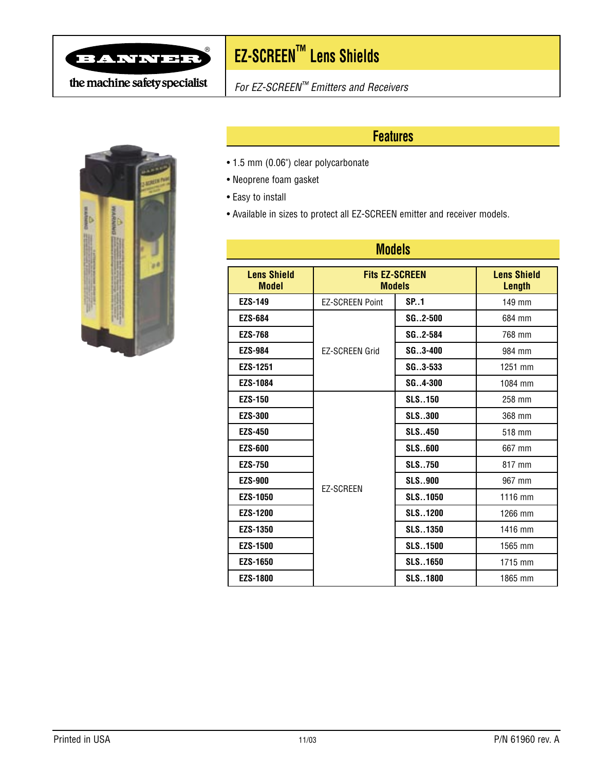

# **EZ-SCREEN™ Lens Shields** ®

the machine safety specialist



For EZ-SCREEN™ Emitters and Receivers

# **Features**

- 1.5 mm (0.06") clear polycarbonate
- Neoprene foam gasket
- Easy to install
- Available in sizes to protect all EZ-SCREEN emitter and receiver models.

| <b>Models</b>                      |                                        |                |                                     |
|------------------------------------|----------------------------------------|----------------|-------------------------------------|
| <b>Lens Shield</b><br><b>Model</b> | <b>Fits EZ-SCREEN</b><br><b>Models</b> |                | <b>Lens Shield</b><br><b>Length</b> |
| <b>EZS-149</b>                     | <b>EZ-SCREEN Point</b>                 | SP.1           | 149 mm                              |
| <b>EZS-684</b>                     | <b>EZ-SCREEN Grid</b>                  | $SG. .2 - 500$ | 684 mm                              |
| <b>EZS-768</b>                     |                                        | SG2-584        | 768 mm                              |
| <b>EZS-984</b>                     |                                        | $SG. .3 - 400$ | 984 mm                              |
| EZS-1251                           |                                        | SG3-533        | 1251 mm                             |
| <b>EZS-1084</b>                    |                                        | SG., 4-300     | 1084 mm                             |
| <b>EZS-150</b>                     | <b>EZ-SCREEN</b>                       | <b>SLS150</b>  | 258 mm                              |
| <b>EZS-300</b>                     |                                        | <b>SLS300</b>  | 368 mm                              |
| <b>EZS-450</b>                     |                                        | <b>SLS.450</b> | 518 mm                              |
| <b>EZS-600</b>                     |                                        | <b>SLS600</b>  | 667 mm                              |
| <b>EZS-750</b>                     |                                        | <b>SLS750</b>  | 817 mm                              |
| <b>EZS-900</b>                     |                                        | <b>SLS900</b>  | 967 mm                              |
| <b>EZS-1050</b>                    |                                        | <b>SLS1050</b> | 1116 mm                             |
| <b>EZS-1200</b>                    |                                        | <b>SLS1200</b> | 1266 mm                             |
| <b>EZS-1350</b>                    |                                        | <b>SLS1350</b> | 1416 mm                             |
| <b>EZS-1500</b>                    |                                        | <b>SLS1500</b> | 1565 mm                             |
| <b>EZS-1650</b>                    |                                        | <b>SLS1650</b> | 1715 mm                             |
| <b>EZS-1800</b>                    |                                        | <b>SLS1800</b> | 1865 mm                             |